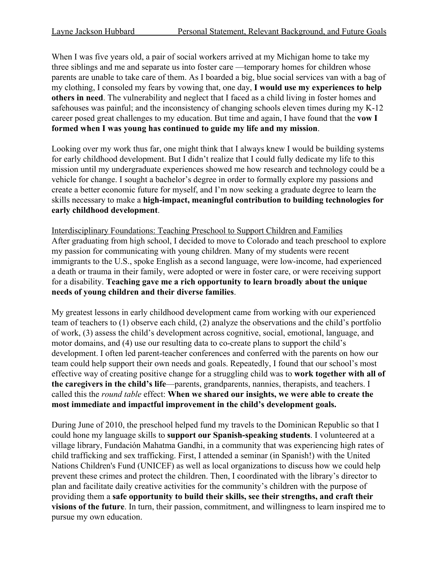When I was five years old, a pair of social workers arrived at my Michigan home to take my three siblings and me and separate us into foster care —temporary homes for children whose parents are unable to take care of them. As I boarded a big, blue social services van with a bag of my clothing, I consoled my fears by vowing that, one day, **I would use my experiences to help others in need**. The vulnerability and neglect that I faced as a child living in foster homes and safehouses was painful; and the inconsistency of changing schools eleven times during my K-12 career posed great challenges to my education. But time and again, I have found that the **vow I formed when I was young has continued to guide my life and my mission**.

Looking over my work thus far, one might think that I always knew I would be building systems for early childhood development. But I didn't realize that I could fully dedicate my life to this mission until my undergraduate experiences showed me how research and technology could be a vehicle for change. I sought a bachelor's degree in order to formally explore my passions and create a better economic future for myself, and I'm now seeking a graduate degree to learn the skills necessary to make a **high-impact, meaningful contribution to building technologies for early childhood development**.

Interdisciplinary Foundations: Teaching Preschool to Support Children and Families After graduating from high school, I decided to move to Colorado and teach preschool to explore my passion for communicating with young children. Many of my students were recent immigrants to the U.S., spoke English as a second language, were low-income, had experienced a death or trauma in their family, were adopted or were in foster care, or were receiving support for a disability. **Teaching gave me a rich opportunity to learn broadly about the unique needs of young children and their diverse families**.

My greatest lessons in early childhood development came from working with our experienced team of teachers to (1) observe each child, (2) analyze the observations and the child's portfolio of work, (3) assess the child's development across cognitive, social, emotional, language, and motor domains, and (4) use our resulting data to co-create plans to support the child's development. I often led parent-teacher conferences and conferred with the parents on how our team could help support their own needs and goals. Repeatedly, I found that our school's most effective way of creating positive change for a struggling child was to **work together with all of the caregivers in the child's life**—parents, grandparents, nannies, therapists, and teachers. I called this the *round table* effect: **When we shared our insights, we were able to create the most immediate and impactful improvement in the child's development goals.**

During June of 2010, the preschool helped fund my travels to the Dominican Republic so that I could hone my language skills to **support our Spanish-speaking students**. I volunteered at a village library, Fundación Mahatma Gandhi, in a community that was experiencing high rates of child trafficking and sex trafficking. First, I attended a seminar (in Spanish!) with the United Nations Children's Fund (UNICEF) as well as local organizations to discuss how we could help prevent these crimes and protect the children. Then, I coordinated with the library's director to plan and facilitate daily creative activities for the community's children with the purpose of providing them a **safe opportunity to build their skills, see their strengths, and craft their visions of the future**. In turn, their passion, commitment, and willingness to learn inspired me to pursue my own education.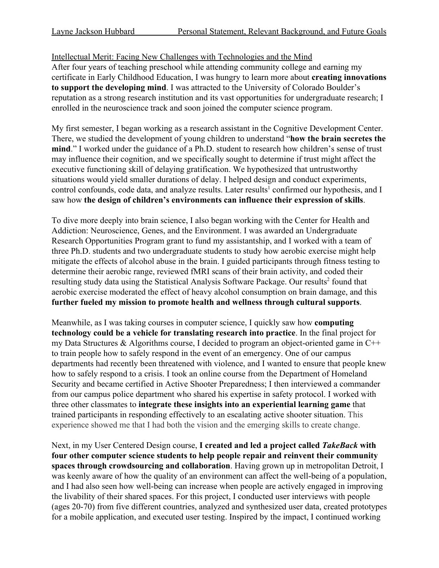Intellectual Merit: Facing New Challenges with Technologies and the Mind After four years of teaching preschool while attending community college and earning my certificate in Early Childhood Education, I was hungry to learn more about **creating innovations to support the developing mind**. I was attracted to the University of Colorado Boulder's reputation as a strong research institution and its vast opportunities for undergraduate research; I enrolled in the neuroscience track and soon joined the computer science program.

My first semester, I began working as a research assistant in the Cognitive Development Center. There, we studied the development of young children to understand "**how the brain secretes the mind**." I worked under the guidance of a Ph.D. student to research how children's sense of trust may influence their cognition, and we specifically sought to determine if trust might affect the executive functioning skill of delaying gratification. We hypothesized that untrustworthy situations would yield smaller durations of delay. I helped design and conduct experiments, control confounds, code data, and analyze results. Later results<sup>1</sup> confirmed our hypothesis, and I saw how **the design of children's environments can influence their expression of skills**.

To dive more deeply into brain science, I also began working with the Center for Health and Addiction: Neuroscience, Genes, and the Environment. I was awarded an Undergraduate Research Opportunities Program grant to fund my assistantship, and I worked with a team of three Ph.D. students and two undergraduate students to study how aerobic exercise might help mitigate the effects of alcohol abuse in the brain. I guided participants through fitness testing to determine their aerobic range, reviewed fMRI scans of their brain activity, and coded their resulting study data using the Statistical Analysis Software Package. Our results<sup>2</sup> found that aerobic exercise moderated the effect of heavy alcohol consumption on brain damage, and this **further fueled my mission to promote health and wellness through cultural supports**.

Meanwhile, as I was taking courses in computer science, I quickly saw how **computing technology could be a vehicle for translating research into practice**. In the final project for my Data Structures & Algorithms course, I decided to program an object-oriented game in C++ to train people how to safely respond in the event of an emergency. One of our campus departments had recently been threatened with violence, and I wanted to ensure that people knew how to safely respond to a crisis. I took an online course from the Department of Homeland Security and became certified in Active Shooter Preparedness; I then interviewed a commander from our campus police department who shared his expertise in safety protocol. I worked with three other classmates to **integrate these insights into an experiential learning game** that trained participants in responding effectively to an escalating active shooter situation. This experience showed me that I had both the vision and the emerging skills to create change.

Next, in my User Centered Design course, **I created and led a project called** *TakeBack* **with four other computer science students to help people repair and reinvent their community spaces through crowdsourcing and collaboration**. Having grown up in metropolitan Detroit, I was keenly aware of how the quality of an environment can affect the well-being of a population, and I had also seen how well-being can increase when people are actively engaged in improving the livability of their shared spaces. For this project, I conducted user interviews with people (ages 20-70) from five different countries, analyzed and synthesized user data, created prototypes for a mobile application, and executed user testing. Inspired by the impact, I continued working